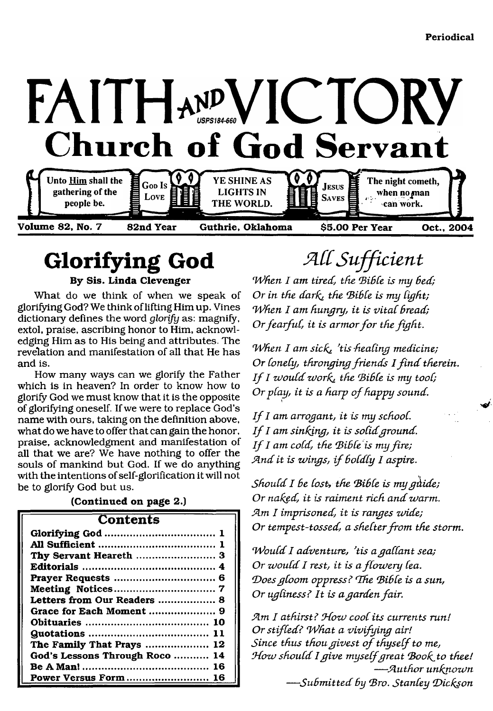

# <span id="page-0-0"></span>**Glorifying God**

**By Sis. Linda Clevenger**

What do we think of when we speak of glorifying God? We think of lifting Him up. Vines dictionary defines the word *glorify* as: magnify, extol, praise, ascribing honor to Him, acknowledging Him as to His being and attributes. The revelation and manifestation of all that He has and is.

How many ways can we glorify the Father which is in heaven? In order to know how to glorify God we must know that it is the opposite of glorifying oneself. If we were to replace God's name with ours, taking on the definition above, what do we have to offer that can gain the honor, praise, acknowledgment and manifestation of all that we are? We have nothing to offer the souls of mankind but God. If we do anything with the intentions of self-glorification it will not be to glorify God but us.

| (Continued on page 2.)         |  |  |
|--------------------------------|--|--|
| <b>Contents</b>                |  |  |
|                                |  |  |
|                                |  |  |
|                                |  |  |
|                                |  |  |
|                                |  |  |
|                                |  |  |
| Letters from Our Readers  8    |  |  |
|                                |  |  |
|                                |  |  |
|                                |  |  |
| The Family That Prays  12      |  |  |
| God's Lessons Through Roco  14 |  |  |
|                                |  |  |
| Power Versus Form  16          |  |  |

*JAd Sufficient*

*When I am tired, the Bible is my bed; Or in the dark*, the Bible is my light; *When I am hungry, it is vital bread; Or fearful, it is armor for the fight.* 

*When I am sick, 'tis healing medicine; Or lonely, thronging friends I find therein. If I would work*, the Bible is my tool; *Or play, it is a harp of happy sound.* 

*If I am arrogant, it is my school. If I am sinking, it is solid ground. If I am cold, the Bible is my fire;* And it is wings, if boldly I aspire.

*Should I Be Cost, the (Bible is my guide; Or naked, it is raiment rich and warm. JAm I imprisoned, it is ranges zaide;* Or tempest-tossed, a shelter from the storm.

*Would I adventure, 'tis a gallant sea; Or would I rest, it is a flowery lea. (Doesgloom oppress? fThe (Bible is a sun, Or ugliness? It is a garden fair.* 

*SAm I athirst? Odozv cool its currents run! Or stifled? What a vivifuing air! Since thus thou givest of thyself to me,* How should I give myself great Book to thee! *— (Author unfanozvn — Subm itted by (Bro. Stanley (Dicfaon*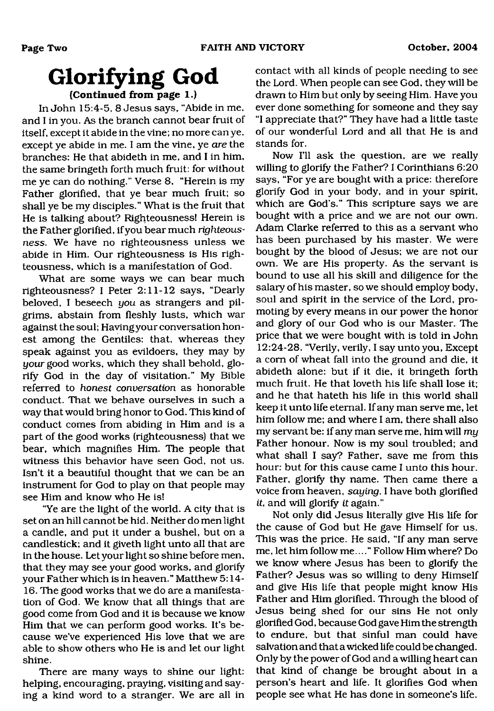## **Glorifying God (Continued from page 1.)**

In John 15:4-5, 8 Jesus says, "Abide in me, and I in you. As the branch cannot bear fruit of itself, except it abide in the vine; no more can ye. except ye abide in me. I am the vine, ye *are* the branches: He that abideth in me, and I in him, the same bringeth forth much fruit: for without me ye can do nothing." Verse 8, "Herein is my Father glorified, that ye bear much fruit; so shall ye be my disciples." What is the fruit that He is talking about? Righteousness! Herein is the Father glorified, if you bear much *righteousness.* We have no righteousness unless we abide in Him. Our righteousness is His righteousness, which is a manifestation of God.

What are some ways we can bear much righteousness? I Peter 2:11-12 says, "Dearly beloved, I beseech *you* as strangers and pilgrims, abstain from fleshly lusts, which war against the soul; Having your conversation honest among the Gentiles: that, whereas they speak against you as evildoers, they may by *your* good works, which they shall behold, glorify God in the day of visitation." My Bible referred to *honest conversation* as honorable conduct. That we behave ourselves in such a way that would bring honor to God. This kind of conduct comes from abiding in Him and is a part of the good works (righteousness) that we bear, which magnifies Him. The people that witness this behavior have seen God, not us. Isn't it a beautiful thought that we can be an instrument for God to play on that people may see Him and know who He is!

"Ye are the light of the world. A city that is set on an hill cannot be hid. Neither do men light a candle, and put it under a bushel, but on a candlestick; and it giveth light unto all that are in the house. Let your light so shine before men, that they may see your good works, and glorify your Father which is in heaven." Matthew 5:14- 16. The good works that we do are a manifestation of God. We know that all things that are good come from God and it is because we know Him that we can perform good works. It's because we've experienced His love that we are able to show others who He is and let our light shine.

There are many ways to shine our light: helping, encouraging, praying, visiting and saying a kind word to a stranger. We are all in

contact with all kinds of people needing to see the Lord. When people can see God, they will be drawn to Him but only by seeing Him. Have you ever done something for someone and they say "I appreciate that?" They have had a little taste of our wonderful Lord and all that He is and stands for.

Now I'll ask the question, are we really willing to glorify the Father? I Corinthians 6:20 says, "For ye are bought with a price: therefore glorify God in your body, and in your spirit, which are God's." This scripture says we are bought with a price and we are not our own. Adam Clarke referred to this as a servant who has been purchased by his master. We were bought by the blood of Jesus; we are not our own. We are His property. As the servant is bound to use all his skill and diligence for the salary of his master, so we should employ body, soul and spirit in the service of the Lord, promoting by every means in our power the honor and glory of our God who is our Master. The price that we were bought with is told in John 12:24-28. "Verily, verily, I say unto you, Except a com of wheat fall into the ground and die, it abideth alone: but if it die, it bringeth forth much fruit. He that loveth his life shall lose it; and he that hateth his life in this world shall keep it unto life eternal. If any man serve me, let him follow me; and where I am, there shall also my servant be: if any man serve me, him will *my* Father honour. Now is my soul troubled; and what shall I say? Father, save me from this hour: but for this cause came I unto this hour. Father, glorify thy name. Then came there a voice from heaven, *saying,* I have both glorified if, and will glorify *it* again."

Not only did Jesus literally give His life for the cause of God but He gave Himself for us. This was the price. He said, "If any man serve me, let him follow me...." Follow Him where? Do we know where Jesus has been to glorify the Father? Jesus was so willing to deny Himself and give His life that people might know His Father and Him glorified. Through the blood of Jesus being shed for our sins He not only glorified God, because God gave Him the strength to endure, but that sinful man could have salvation and that a wicked life could be changed. Only by the power of God and a willing heart can that kind of change be brought about in a person's heart and life. It glorifies God when people see what He has done in someone's life.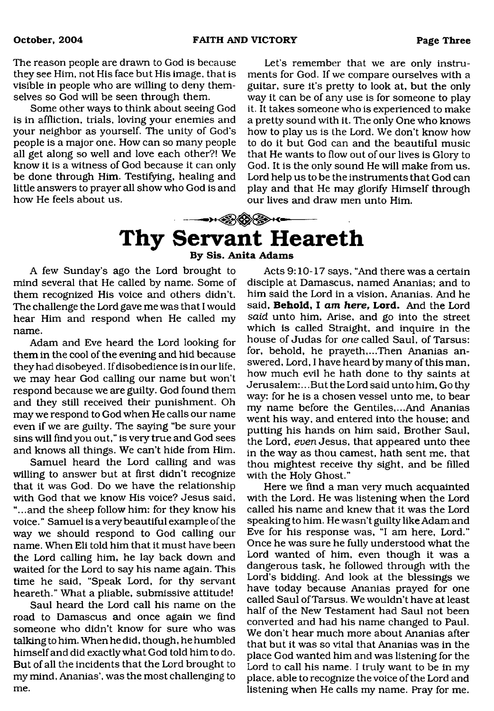The reason people are drawn to God is because they see Him, not His face but His image, that is visible in people who are willing to deny themselves so God will be seen through them.

Some other ways to think about seeing God is in affliction, trials, loving your enemies and your neighbor as yourself. The unity of God's people is a major one. How can so many people all get along so well and love each other?! We know it is a witness of God because it can only be done through Him. Testifying, healing and little answers to prayer all show who God is and how He feels about us.

Let's remember that we are only instruments for God. If we compare ourselves with a guitar, sure it's pretty to look at, but the only way it can be of any use is for someone to play it. It takes someone who is experienced to make a pretty sound with it. The only One who knows how to play us is the Lord. We don't know how to do it but God can and the beautiful music that He wants to flow out of our lives is Glory to God. It is the only sound He will make from us. Lord help us to be the instruments that God can play and that He may glorify Himself through our lives and draw men unto Him.

## <span id="page-2-0"></span>╼ਮ<del>∕</del>ୁନ⊗⊗⊶ **Thy Servant Heareth**

**By Sis. Anita Adams**

A few Sunday's ago the Lord brought to mind several that He called by name. Some of them recognized His voice and others didn't. The challenge the Lord gave me was that I would hear Him and respond when He called my name.

Adam and Eve heard the Lord looking for them in the cool of the evening and hid because they had disobeyed. If disobedience is in our life, we may hear God calling our name but won't respond because we are guilty. God found them and they still received their punishment. Oh may we respond to God when He calls our name even if we are guilty. The saying "be sure your sins will find you out,'' is very true and God sees and knows all things. We can't hide from Him.

Samuel heard the Lord calling and was willing to answer but at first didn't recognize that it was God. Do we have the relationship with God that we know His voice? Jesus said, "...and the sheep follow him: for they know his voice. " Samuel is a very beautiful example of the way we should respond to God calling our name. When Eli told him that it must have been the Lord calling him, he lay back down and waited for the Lord to say his name again. This time he said, "Speak Lord, for thy servant heareth." What a pliable, submissive attitude!

Saul heard the Lord call his name on the road to Damascus and once again we find someone who didn't know for sure who was talking to him. When he did, though, he humbled himself and did exactly what God told him to do. But of all the incidents that the Lord brought to my mind, Ananias', was the most challenging to me.

Acts 9:10-17 says, "And there was a certain disciple at Damascus, named Ananias; and to him said the Lord in a vision, Ananias. And he said. **Behold, I** *am here***, Lord.** And the Lord *said* unto him, Arise, and go into the street which is called Straight, and inquire in the house of Judas for *one* called Saul, of Tarsus: for, behold, he prayeth,...Then Ananias answered, Lord, I have heard by many of this man, how much evil he hath done to thy saints at Jerusalem:.. .But the Lord said unto him, Go thy way: for he is a chosen vessel unto me, to bear my name before the Gentiles,.. .And Ananias went his way, and entered into the house; and putting his hands on him said, Brother Saul, the Lord, *even* Jesus, that appeared unto thee in the way as thou earnest, hath sent me, that thou mightest receive thy sight, and be filled with the Holy Ghost."

Here we find a man very much acquainted with the Lord. He was listening when the Lord called his name and knew that it was the Lord speaking to him. He wasn't guilty like Adam and Eve for his response was, "I am here, Lord." Once he was sure he fully understood what the Lord wanted of him, even though it was a dangerous task, he followed through with the Lord's bidding. And look at the blessings we have today because Ananias prayed for one called Saul of Tarsus. We wouldn't have at least half of the New Testament had Saul not been converted and had his name changed to Paul. We don't hear much more about Ananias after that but it was so vital that Ananias was in the place God wanted him and was listening for the Lord to call his name. I truly want to be in my place, able to recognize the voice of the Lord and listening when He calls my name. Pray for me.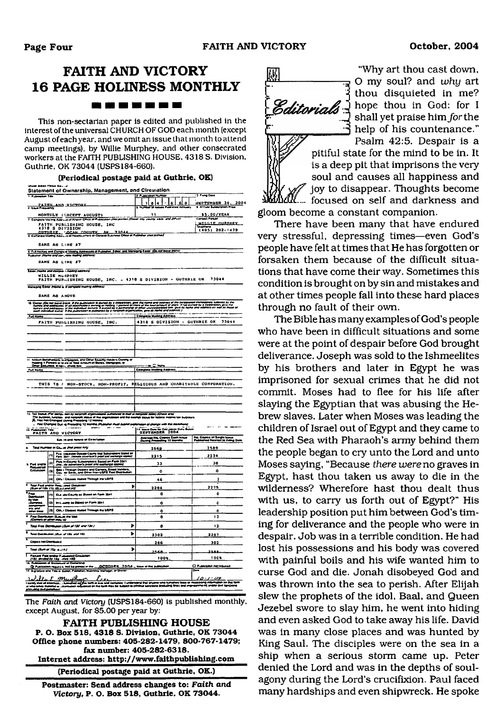## **FAITH AND VICTORY 16 PAGE HOLINESS MONTHLY**

#### -------

This non-sectarian paper is edited and published in the interest of the universal CHURCH OF GOD each month (except August of each year, and we omit an issue that month to attend camp meetings), by Willie Murphey, and other consecrated workers at the FAITH PUBLISHING HOUSE, 4318 S. Division, Guthrie, OK 73044 (USPS184-660).

#### **(Periodical postage paid at Guthrie. OK)**

#### Statement of Ownership, Management, and Circulation<br>المحتوية المستقرر المحتوية المحتوية المحتوية المحتوية المحتوية المحتوية المحتوية المحتوية المحتوية المحتوية الم<br>المحتوية المحتوية TAITH AND VICTORY <del>1 1 12</del> 14 1 - 16 1 <u>6 1 01 - SEPTEMBER 30, 200</u>4 MONTHLY | EXCEPT AUGUST)<br>The Maine Alexand Known Office of Publishers 15.00/YEAR MILLTE HURPHEY FA ITH PUBLISHING HOUSE, INC<br>4310 S DIVISION<br>CongoidMan Ass..ad Nami-Net of Guard Based Once of Congoid *publishing* (405) 282-1479 SAME AS  $L$  INE #7 8. Full home<u>s and Compuse Mealing Addresses of Publisher, Baser, and Menaging Ea*sor (De not tea*<br>Publisher *(Name and con , were maling address)*</u> SAME AS LINE #7 U<\*» *fttmtmm* »«#nTw WILLIE RUNDHEY<br>FAITH PUBLISHING HOUSE, INC. - 4318 S DIVISION - GUTHRIE OK 73044 latpa */r\*smm + t* w\*»y SAME AS AHOVE \* Yomes and addresses of all additionally a worship of yourself of many of the suite provide at the annet by a compromis.<br>Aimes and addresses of the individual aways: it award by a harmering or alway appealed him. Over all **Full Name** FAITH PUBLISHING HOUSE, INC. 4318 S DIVISION - GUTHRIE OK 73044 Holding 1 Percent ar bl.ors at Total Amount of Bends, Mangages, a Instanty 1 Persons or blues at Total Amount of Gonda, Mangegoe, ar<br>Ower Becureos, It navy, check box *\*>Jt Hsmm* \_\_\_\_\_\_\_\_\_\_\_\_\_\_\_\_\_\_\_\_\_\_ \_\_\_\_ THIS TS / NON-STOCK, NON-PROFIT, RELIGIOUS AND CHARITABLE CORPORATION. 12. Tax Status (For comp. a The Burates, functor- and nonprofit stake of the ergenizisms and the exempt pasus for federal mosme las burbou<br>[5] This Not Changed Dunny Preceding 12 Months . ma Owiget Dat is heading 12 Home in atem in atem in the military of the military of the film of the film of the<br> **Atem in ater in the state of the state of the state of the state of the state of the state of the state of** U ■il.nlMdNMMOlCffBMM Man|o Mo. Coon a toefi lUu\* Owlf TwafOm n Ma«M« Mo. Caaoi of ttoglo Laawo TaMitMa Waaooai to *\*\*\*\*\** Ow» • Tout fWDMf M Ct^ff *{\*\*fit firms\** <uy <sup>2568</sup> <sup>2589</sup> It) •m IIMIM Omkoi coaoty Mo\* MM 0\* lot M41 I'lMtO\* *sirmrsisn firms\** <sup>2215</sup> <sup>2234</sup> 12) <sup>7</sup>t)o leC«MV SuMtfMont SWd 0\*1*form* <sup>2341</sup>fwe..<u *mt\*mmmsf'sproo\*srtmmxnmngmmmtsm<sup>4</sup>* <sup>33</sup> <sup>30</sup> I. Pad snäte (21 •om » TtwowflA OooMr» md CafOOf\*. Siroot VmMow, Cog Hf Ootaa. Mtf Ootof noa-USPS PoM OMVOwMn 0 0 1\*1 Ovw f Ciomm *\*\*\*\*\*\** ThrOu^ \*o U\*P<sup>5</sup> <sup>46</sup> <sup>3</sup> \* riUl7t4 li«wnHK4<MCMM«W) L 2294 2275  $^{\circ}$  $|v_1|$  Owindows as Summar from 3541  $|v_1|$  . On  $|v_2|$ *1 %fim* |}> irv4. .\*«■<\* oaStuodon Fo«\* Mai <sup>0</sup> <sup>0</sup> *(3+mtm\*.* on Malakul Tiwagu Wa USPS<br>1 CMMH UNI Tiwagu Waf Wangu Waf Wangu Wangu Windows U<br>1 Q \* P»oo OfMOuUn OmM.lt To MaO *tCmmmrt* y«\*or nwo mu 0 12 \* Tsui *fir—* OwvavMn *iStsn tfi i\$4 tfimj* 8 12 \* Total of the and the *and the Participal of the contrast of the contrast of the contrast of the contrast of the contrast of the contrast of the contrast of the contrast of the contrast of the contrast of the contrast* Copies net Olee House 4 and 266 302 302 Total *{turn ml* rflg »./ *n.)* × ska. 1 7«UM 7M wi\*o l>4WMi«4Ci(cUMan *ft\*c. mntmtbr \*9\** .\*•#\* *\*0(9* <sup>100</sup>%. <sup>100</sup>% Q n h o im roomr+A wi bo enraaa » i <sup>17</sup> ono r«o (MK PgMMtai. tfc 9 <sup>m</sup> *r* terrente. I understand that anyone who humaines last<br>hay be subject to criminal sanctions drasticling fines and */or- w* a 7 - 8 1  $\sim$ The *Faith and Victory* (USPS184-660) is published monthly,

except August, for \$5.00 per year by:

**FAITH PUBLISHING HOUSE P. O. Box 518. 4318 S. Division. Guthrie. OK 73044 Office phone numbers: 405-282-1479, 800-767-1479; fax number: 405-282-6318. Internet address: <http://www.fiaithpublishing.com> (Periodical postage paid at Guthrie, OK.)**

**Postmaster: Send address changes to:** *Faith and Victory,* **P. O. Box 518, Guthrie, OK 73044.**



"Why art thou cast down, O my soul? and *why* art thou disquieted in me? Editorials I hope thou in God: for I shall yet praise him *for* the help of his countenance." Psalm 42:5. Despair is a

pitiful state for the mind to be in. It is a deep pit that imprisons the very soul and causes all happiness and *f* joy to disappear. Thoughts become *\uIL...* focused on self and darkness and gloom become a constant companion.

There have been many that have endured very stressful, depressing times—even God's people have felt at times that He has forgotten or forsaken them because of the difficult situations that have come their way. Sometimes this condition is brought on by sin and mistakes and at other times people fall into these hard places through no fault of their own.

The Bible has many examples of God's people who have been in difficult situations and some were at the point of despair before God brought deliverance. Joseph was sold to the Ishmeelites by his brothers and later in Egypt he was imprisoned for sexual crimes that he did not commit. Moses had to flee for his life after slaying the Egyptian that was abusing the Hebrew slaves. Later when Moses was leading the children of Israel out of Egypt and they came to the Red Sea with Pharaoh's army behind them the people began to cry unto the Lord and unto Moses saying, "Because *there were no* graves in Egypt, hast thou taken us away to die in the wilderness? Wherefore hast thou dealt thus with us, to carry us forth out of Egypt?" His leadership position put him between God's timing for deliverance and the people who were in despair. Job was in a terrible condition. He had lost his possessions and his body was covered with painful boils and his wife wanted him to curse God and die. Jonah disobeyed God and was thrown into the sea to perish. After Elijah slew the prophets of the idol, Baal, and Queen Jezebel swore to slay him, he went into hiding and even asked God to take away his life. David was in many close places and was hunted by King Saul. The disciples were on the sea in a ship when a serious storm came up. Peter denied the Lord and was in the depths of soulagony during the Lord's crucifixion. Paul faced many hardships and even shipwreck. He spoke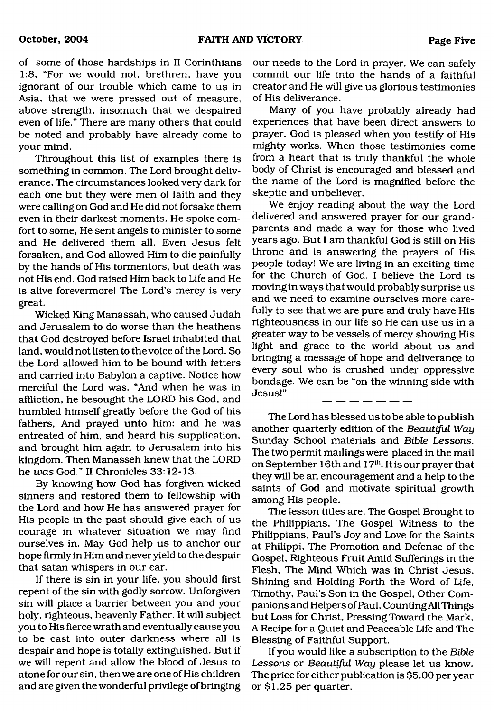of some of those hardships in II Corinthians 1:8, "For we would not, brethren, have you ignorant of our trouble which came to us in Asia, that we were pressed out of measure, above strength, insomuch that we despaired even of life." There are many others that could be noted and probably have already come to your mind.

Throughout this list of examples there is something in common. The Lord brought deliverance. The circumstances looked very dark for each one but they were men of faith and they were calling on God and He did not forsake them even in their darkest moments. He spoke comfort to some, He sent angels to minister to some and He delivered them all. Even Jesus felt forsaken, and God allowed Him to die painfully by the hands of His tormentors, but death was not His end. God raised Him back to Life and He is alive forevermore! The Lord's mercy is very great.

Wicked King Manassah, who caused Judah and Jerusalem to do worse than the heathens that God destroyed before Israel inhabited that land, would not listen to the voice of the Lord. So the Lord allowed him to be bound with fetters and carried into Babylon a captive. Notice how merciful the Lord was. "And when he was in affliction, he besought the LORD his God, and humbled himself greatly before the God of his fathers, And prayed unto him: and he was entreated of him, and heard his supplication, and brought him again to Jerusalem into his kingdom. Then Manasseh knew that the LORD he *was* God." II Chronicles 33:12-13.

By knowing how God has forgiven wicked sinners and restored them to fellowship with the Lord and how He has answered prayer for His people in the past should give each of us courage in whatever situation we may find ourselves in. May God help us to anchor our hope firmly in Him and never yield to the despair that satan whispers in our ear.

If there is sin in your life, you should first repent of the sin with godly sorrow. Unforgiven sin will place a barrier between you and your holy, righteous, heavenly Father. It will subject you to His fierce wrath and eventually cause you to be cast into outer darkness where all is despair and hope is totally extinguished. But if we will repent and allow the blood of Jesus to atone for our sin, then we are one of His children and are given the wonderful privilege of bringing

our needs to the Lord in prayer. We can safely commit our life into the hands of a faithful creator and He will give us glorious testimonies of His deliverance.

Many of you have probably already had experiences that have been direct answers to prayer. God is pleased when you testify of His mighty works. When those testimonies come from a heart that is truly thankful the whole body of Christ is encouraged and blessed and the name of the Lord is magnified before the skeptic and unbeliever.

We enjoy reading about the way the Lord delivered and answered prayer for our grandparents and made a way for those who lived years ago. But I am thankful God is still on His throne and is answering the prayers of His people today! We are living in an exciting time for the Church of God. I believe the Lord is moving in ways that would probably surprise us and we need to examine ourselves more carefully to see that we are pure and truly have His righteousness in our life so He can use us in a greater way to be vessels of mercy showing His light and grace to the world about us and bringing a message of hope and deliverance to every soul who is crushed under oppressive bondage. We can be "on the winning side with Jesus!"

The Lord has blessed us to be able to publish another quarterly edition of the *Beautiful Way* Sunday School materials and *Bible Lessons.* The two permit mailings were placed in the mail on September 16th and 17<sup>th</sup>. It is our prayer that they will be an encouragement and a help to the saints of God and motivate spiritual growth among His people.

The lesson titles are, The Gospel Brought to the Philippians, The Gospel Witness to the Philippians, Paul's Joy and Love for the Saints at Philippi, The Promotion and Defense of the Gospel, Righteous Fruit Amid Sufferings in the Flesh, The Mind Which was in Christ Jesus, Shining and Holding Forth the Word of Life, Timothy, Paul's Son in the Gospel, Other Companions and Helpers of Paul, Counting All Things but Loss for Christ, Pressing Toward the Mark, A Recipe for a Quiet and Peaceable Life and The Blessing of Faithful Support.

If you would like a subscription to the *Bible Lessons* or *Beautiful Way* please let us know. The price for either publication is \$5.00 per year or \$1.25 per quarter.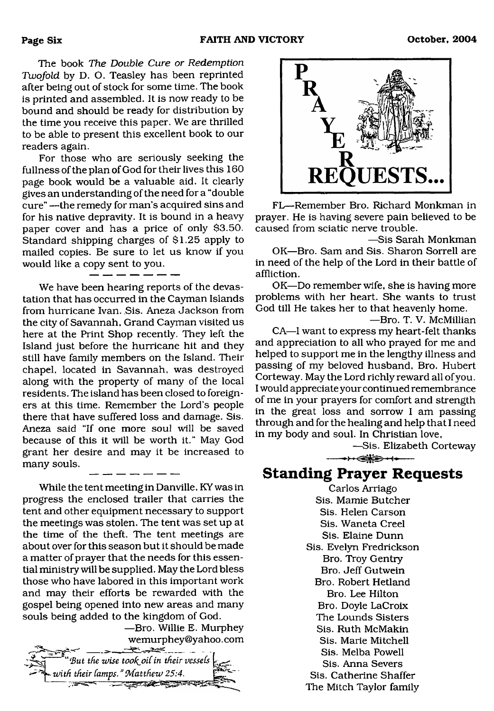The book *The Double Cure or Redemption Twofold* by D. O. Teasley has been reprinted after being out of stock for some time. The book is printed and assembled. It is now ready to be bound and should be ready for distribution by the time you receive this paper. We are thrilled to be able to present this excellent book to our readers again.

For those who are seriously seeking the fullness of the plan of God for their lives this 160 page book would be a valuable aid. It clearly gives an understanding of the need for a "double cure" —the remedy for man's acquired sins and for his native depravity. It is bound in a heavy paper cover and has a price of only \$3.50. Standard shipping charges of \$1.25 apply to mailed copies. Be sure to let us know if you would like a copy sent to you.

We have been hearing reports of the devastation that has occurred in the Cayman Islands from hurricane Ivan. Sis. Aneza Jackson from the city of Savannah, Grand Cayman visited us here at the Print Shop recently. They left the Island just before the hurricane hit and they still have family members on the Island. Their chapel, located in Savannah, was destroyed along with the property of many of the local residents. The island has been closed to foreigners at this time. Remember the Lord's people there that have suffered loss and damage. Sis. Aneza said "If one more soul will be saved because of this it will be worth it." May God grant her desire and may it be increased to many souls.

While the tent meeting in Danville, KY was in progress the enclosed trailer that carries the tent and other equipment necessary to support the meetings was stolen. The tent was set up at the time of the theft. The tent meetings are about over for this season but it should be made a matter of prayer that the needs for this essential ministry will be supplied. May the Lord bless those who have labored in this important work and may their efforts be rewarded with the gospel being opened into new areas and many souls being added to the kingdom of God.

—Bro. Willie E. Murphey [wemurphey@yahoo.com](mailto:wemurphey@yahoo.com)  $\frac{1}{2} \frac{1}{2} \frac{1}{2} \frac{1}{2} \frac{1}{2} \frac{1}{2} \frac{1}{2} \frac{1}{2} \frac{1}{2} \frac{1}{2} \frac{1}{2} \frac{1}{2} \frac{1}{2} \frac{1}{2} \frac{1}{2} \frac{1}{2} \frac{1}{2} \frac{1}{2} \frac{1}{2} \frac{1}{2} \frac{1}{2} \frac{1}{2} \frac{1}{2} \frac{1}{2} \frac{1}{2} \frac{1}{2} \frac{1}{2} \frac{1}{2} \frac{1}{2} \frac{1}{2} \frac{1}{2} \frac{$ 





FL—Remember Bro. Richard Monkman in prayer. He is having severe pain believed to be caused from sciatic nerve trouble.

—Sis Sarah Monkman

OK—Bro. Sam and Sis. Sharon Sorrell are in need of the help of the Lord in their battle of affliction.

OK—Do remember wife, she is having more problems with her heart. She wants to trust God till He takes her to that heavenly home.

—Bro. T. V. McMillian

CA—I want to express my heart-felt thanks and appreciation to all who prayed for me and helped to support me in the lengthy illness and passing of my beloved husband, Bro. Hubert Corteway. May the Lord richly reward all of you. I would appreciate your continued remembrance of me in your prayers for comfort and strength in the great loss and sorrow I am passing through and for the healing and help that I need in my body and soul. In Christian love,

—Sis. Elizabeth Corteway

**Standing Prayer Requests**

 $\longrightarrow \leftarrow \leftarrow \leftarrow \leftarrow \leftarrow \leftarrow \leftarrow$ 

Carlos Arriago Sis. Mamie Butcher Sis. Helen Carson Sis. Waneta Creel Sis. Elaine Dunn Sis. Evelyn Fredrickson Bro. Troy Gentry Bro. Jeff Gutwein Bro. Robert Hetland Bro. Lee Hilton Bro. Doyle LaCroix The Lounds Sisters Sis. Ruth McMakin Sis. Marie Mitchell Sis. Melba Powell Sis. Anna Severs Sis. Catherine Shaffer The Mitch Taylor family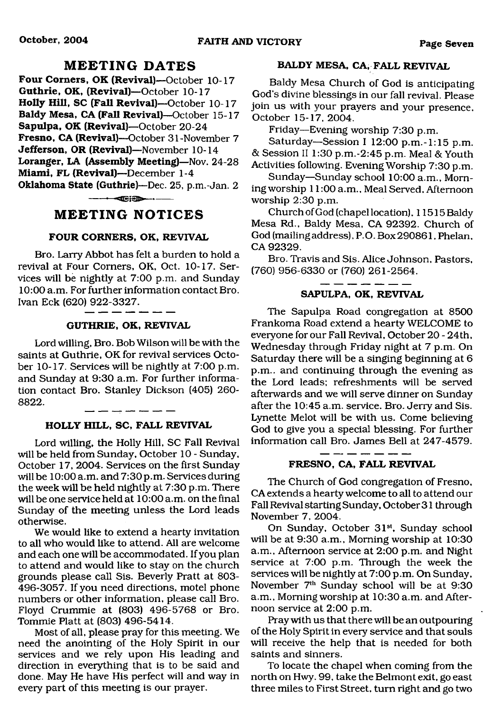### **M EETING DATES**

<span id="page-6-0"></span>**Four Comers, OK (Revival)—**October 10-17 **Guthrie, OK, (Revival)**—October 10-17 **Holly Hill, SC (Fall Revival)**—October 10-17 **Baldy Mesa, CA (Fall Revival)**—October 15-17 **Sapulpa, OK (Revival)**—October 20-24 **Fresno, CA (Revival)—**October 31-November 7 **Jefferson, OR (Revival)**—November 10-14 **Loranger, LA (Assembly Meeting)**—Nov. 24-28 **Miami, FL (Revival)**—December 1-4 **Oklahoma State (Guthrie)**—Dec. 25, p.m.-Jan. 2

------—■dEiSE\*\*—►-----

### **MEETING NOTICES**

#### **FOUR CORNERS, OK, REVIVAL**

Bro. Larry Abbot has felt a burden to hold a revival at Four Comers, OK, Oct. 10-17. Services will be nightly at 7:00 p.m. and Sunday 10:00 a.m. For further information contact Bro. Ivan Eck (620) 922-3327.

#### **GUTHRIE, OK, REVIVAL**

Lord willing, Bro. Bob Wilson will be with the saints at Guthrie, OK for revival services October 10-17. Services will be nightly at 7:00 p.m. and Sunday at 9:30 a.m. For further information contact Bro. Stanley Dickson (405) 260- 8822.

#### **HOLLY HILL, SC, FALL REVIVAL**

Lord willing, the Holly Hill, SC Fall Revival will be held from Sunday, October 10 - Sunday, October 17, 2004. Services on the first Sunday will be 10:00 a.m. and 7:30 p.m. Services during the week will be held nightly at 7:30 p.m. There will be one service held at 10:00 a.m. on the final Sunday of the meeting unless the Lord leads otherwise.

We would like to extend a hearty invitation to all who would like to attend. All are welcome and each one will be accommodated. If you plan to attend and would like to stay on the church grounds please call Sis. Beverly Pratt at 803- 496-3057. If you need directions, motel phone numbers or other information, please call Bro. Floyd Crummie at (803) 496-5768 or Bro. Tommie Platt at (803) 496-5414.

Most of all, please pray for this meeting. We need the anointing of the Holy Spirit in our services and we rely upon His leading and direction in everything that is to be said and done. May He have His perfect will and way in every part of this meeting is our prayer.

#### **BALDY MESA, CA, FALL REVIVAL**

Baldy Mesa Church of God is anticipating God's divine blessings in our fall revival. Please join us with your prayers and your presence, October 15-17, 2004.

Friday—Evening worship 7:30 p.m.

Saturday—Session I 12:00 p.m.-1:15 p.m. & Session II 1:30 p.m.-2:45 p.m. Meal & Youth Activities following. Evening Worship 7:30 p.m.

Sunday—Sunday school 10:00 a.m., Morning worship 11:00 a.m., Meal Served, Afternoon worship 2:30 p.m.

Church of God (chapel location), 11515 Baldy Mesa Rd., Baldy Mesa, CA 92392. Church of God (mailingaddress), P.O. Box290861, Phelan, CA 92329.

Bro. Travis and Sis. Alice Johnson, Pastors, (760) 956-6330 or (760) 261-2564.

#### **SAPULPA, OK, REVIVAL**

The Sapulpa Road congregation at 8500 Frankoma Road extend a hearty WELCOME to everyone for our Fall Revival, October 20 - 24th, Wednesday through Friday night at 7 p.m. On Saturday there will be a singing beginning at 6 p.m.. and continuing through the evening as the Lord leads; refreshments will be served afterwards and we will serve dinner on Sunday after the 10:45 a.m. service. Bro. Jerry and Sis. Lynette Melot will be with us. Come believing God to give you a special blessing. For further information call Bro. James Bell at 247-4579.

#### **FRESNO, CA, FALL REVIVAL**

The Church of God congregation of Fresno, CA extends a hearty welcome to all to attend our Fall Revival starting Sunday, October 31 through November 7, 2004.

On Sunday, October 31<sup>st</sup>, Sunday school will be at 9:30 a.m., Morning worship at 10:30 a.m., Afternoon service at 2:00 p.m. and Night service at 7:00 p.m. Through the week the services will be nightly at 7:00 p.m. On Sunday, November 7th Sunday school will be at 9:30 a.m., Morning worship at 10:30 a.m. and Afternoon service at 2:00 p.m.

Pray with us that there will be an outpouring of the Holy Spirit in every service and that souls will receive the help that is needed for both saints and sinners.

To locate the chapel when coming from the north on Hwy. 99, take the Belmont exit, go east three miles to First Street, turn right and go two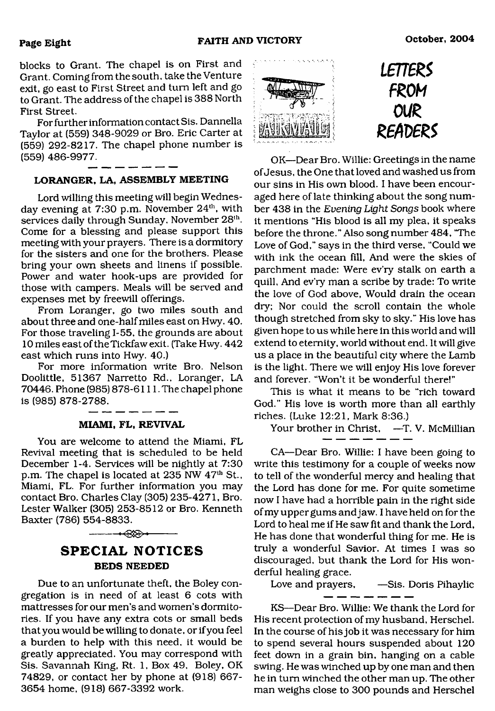blocks to Grant. The chapel is on First and Grant. Coming from the south, take the Venture exit, go east to First Street and tum left and go to Grant. The address of the chapel is 388 North First Street.

For further information contact Sis. Dannella Taylor at (559) 348-9029 or Bro. Eric Carter at (559) 292-8217. The chapel phone number is (559) 486-9977.

#### **LORANGER, LA, ASSEMBLY MEETING**

Lord willing this meeting will begin Wednesday evening at 7:30 p.m. November 24<sup>th</sup>, with services daily through Sunday, November 28<sup>th</sup>. Come for a blessing and please support this meeting with your prayers. There is a dormitory for the sisters and one for the brothers. Please bring your own sheets and linens if possible. Power and water hook-ups are provided for those with campers. Meals will be served and expenses met by freewill offerings.

From Loranger, go two miles south and about three and one-half miles east onHwy. 40. For those traveling 1-55. the grounds are about 10 miles east of theTickfaw exit. (Take Hwy. 442 east which runs into Hwy. 40.)

For more information write Bro. Nelson Doolittle, 51367 Narretto Rd., Loranger. LA 70446. Phone (985) 878-6 111. The chapel phone is (985) 878-2788.

#### **MIAMI, FL, REVIVAL**

You are welcome to attend the Miami, FL Revival meeting that is scheduled to be held December 1-4. Services will be nightly at 7:30 p.m. The chapel is located at 235 NW 47<sup>th</sup> St., Miami, FL. For further information you may contact Bro. Charles Clay (305) 235-4271, Bro. Lester Walker (305) 253-8512 or Bro. Kenneth Baxter (786) 554-8833.



-------- ----------------

Due to an unfortunate theft, the Boley congregation is in need of at least 6 cots with mattresses for our men's and women's dormitories. If you have any extra cots or small beds that you would be willing to donate, or if you feel a burden to help with this need, it would be greatly appreciated. You may correspond with Sis. Savannah King, Rt. 1, Box 49, Boley, OK 74829, or contact her by phone at (918) 667- 3654 home, (918) 667-3392 work.





OK—Dear Bro. Willie: Greetings in the name of Jesus, the One that loved and washed us from our sins in His own blood. I have been encouraged here of late thinking about the song number 438 in the *Evening Light Songs* book where it mentions "His blood is all my plea, it speaks before the throne." Also song number 484, "The Love of God," says in the third verse, "Could we with ink the ocean fill, And were the skies of parchment made: Were ev'ry stalk on earth a quill, And ev'ry man a scribe by trade: To write the love of God above, Would drain the ocean dry; Nor could the scroll contain the whole though stretched from sky to sky." His love has given hope to us while here in this world and will extend to eternity, world without end. It will give us a place in the beautiful city where the Lamb is the light. There we will enjoy His love forever and forever. "Won't it be wonderful there!"

This is what it means to be "rich toward God." His love is worth more than all earthly riches. (Luke 12:21, Mark 8:36.)

Your brother in Christ, -T. V. McMillian

CA—Dear Bro. Willie: I have been going to write this testimony for a couple of weeks now to tell of the wonderful mercy and healing that the Lord has done for me. For quite sometime now I have had a horrible pain in the right side of my upper gums and jaw. I have held on for the Lord to heal me if He saw fit and thank the Lord, He has done that wonderful thing for me. He is truly a wonderful Savior. At times I was so discouraged, but thank the Lord for His wonderful healing grace.

Love and prayers, --Sis. Doris Pihaylic  $- -$ 

KS—Dear Bro. Willie: We thank the Lord for His recent protection of my husband, Herschel. In the course of his job it was necessary for him to spend several hours suspended about 120 feet down in a grain bin, hanging on a cable swing. He was winched up by one man and then he in tum winched the other man up. The other man weighs close to 300 pounds and Herschel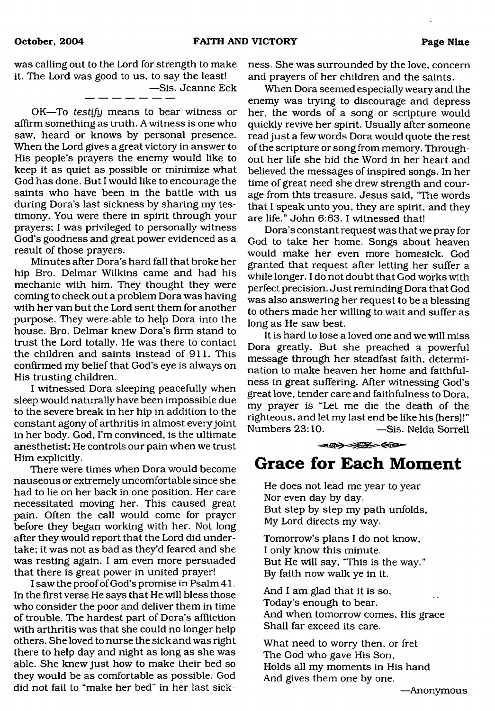was calling out to the Lord for strength to make it. The Lord was good to us, to say the least!

—Sis. Jeanne Eck

OK—To *testify* means to bear witness or affirm something as truth. A witness is one who saw, heard or knows by personal presence. When the Lord gives a great victory in answer to His people's prayers the enemy would like to keep it as quiet as possible or minimize what God has done. But I would like to encourage the saints who have been in the battle with us during Dora's last sickness by sharing my testimony. You were there in spirit through your prayers; I was privileged to personally witness God's goodness and great power evidenced as a result of those prayers.

Minutes after Dora's hard fall that broke her hip Bro. Delmar Wilkins came and had his mechanic with him. They thought they were coming to check out a problem Dora was having with her van but the Lord sent them for another purpose. They were able to help Dora into the house. Bro. Delmar knew Dora's firm stand to trust the Lord totally. He was there to contact the children and saints instead of 911. This confirmed my belief that God's eye is always on His trusting children.

I witnessed Dora sleeping peacefully when sleep would naturally have been impossible due to the severe break in her hip in addition to the constant agony of arthritis in almost every joint in her body. God, I'm convinced, is the ultimate anesthetist; He controls our pain when we trust Him explicitly.

There were times when Dora would become nauseous or extremely uncomfortable since she had to lie on her back in one position. Her care necessitated moving her. This caused great pain. Often the call would come for prayer before they began working with her. Not long after they would report that the Lord did undertake; it was not as bad as they'd feared and she was resting again. I am even more persuaded that there is great power in united prayer!

I saw the proof of God's promise in Psalm 41. In the first verse He says that He will bless those who consider the poor and deliver them in time of trouble. The hardest part of Dora's affliction with arthritis was that she could no longer help others. She loved to nurse the sick and was right there to help day and night as long as she was able. She knew just how to make their bed so they would be as comfortable as possible. God did not fail to "make her bed" in her last sickness. She was surrounded by the love, concern and prayers of her children and the saints.

When Dora seemed especially weary and the enemy was trying to discourage and depress her, the words of a song or scripture would quickly revive her spirit. Usually after someone read just a few words Dora would quote the rest of the scripture or song from memory. Throughout her life she hid the Word in her heart and believed the messages of inspired songs. In her time of great need she drew strength and courage from this treasure. Jesus said, "The words that I speak unto you, they are spirit, and they are life." John 6:63. I witnessed that!

Dora's constant request was that we pray for God to take her home. Songs about heaven would make her even more homesick. God granted that request after letting her suffer a while longer. I do not doubt that God works with perfect precision. Just reminding Dora that God was also answering her request to be a blessing to others made her willing to wait and suffer as long as He saw best.

It is hard to lose a loved one and we will miss Dora greatly. But she preached a powerful message through her steadfast faith, determination to make heaven her home and faithfulness in great suffering. After witnessing God's great love, tender care and faithfulness to Dora, my prayer is "Let me die the death of the righteous, and let my last end be like his (hers)!" -Sis. Nelda Sorrell

 $\iff \iff \iff$ 

## **Grace for Bach Moment**

He does not lead me year to year Nor even day by day. But step by step my path unfolds, My Lord directs my way.

Tomorrow's plans I do not know, I only know this minute. But He will say, 'This is the way." By faith now walk ye in it.

And I am glad that it is so, Today's enough to bear. And when tomorrow comes. His grace Shall far exceed its care.

What need to worry then, or fret The God who gave His Son, Holds all my moments in His hand And gives them one by one.

—Anonymous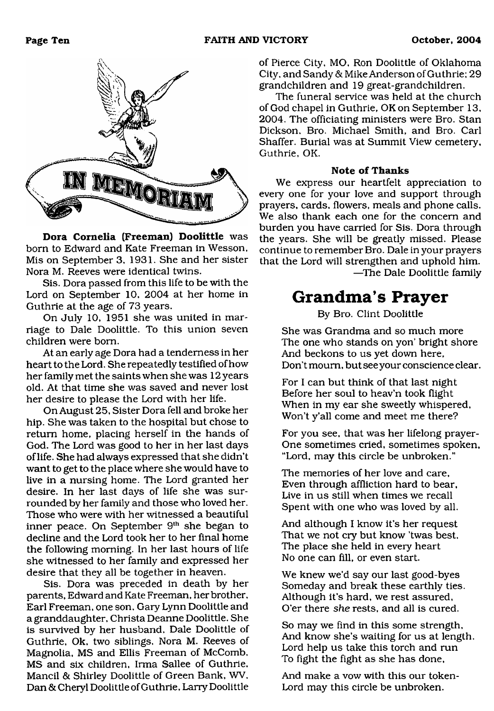

**Dora Cornelia (Freeman) Doolittle** was born to Edward and Kate Freeman in Wesson, Mis on September 3, 1931. She and her sister Nora M. Reeves were identical twins.

Sis. Dora passed from this life to be with the Lord on September 10, 2004 at her home in Guthrie at the age of 73 years.

On July 10, 1951 she was united in marriage to Dale Doolittle. To this union seven children were bom.

At an early age Dora had a tenderness in her heart to the Lord. She repeatedly testified of how her family met the saints when she was 12 years old. At that time she was saved and never lost her desire to please the Lord with her life.

On August 25, Sister Dora fell and broke her hip. She was taken to the hospital but chose to return home, placing herself in the hands of God. The Lord was good to her in her last days of life. She had always expressed that she didn't want to get to the place where she would have to live in a nursing home. The Lord granted her desire. In her last days of life she was surrounded by her family and those who loved her. Those who were with her witnessed a beautiful inner peace. On September 9<sup>th</sup> she began to decline and the Lord took her to her final home the following morning. In her last hours of life she witnessed to her family and expressed her desire that they all be together in heaven.

Sis. Dora was preceded in death by her parents, Edward and Kate Freeman, her brother, Earl Freeman, one son, Gary Lynn Doolittle and a granddaughter, Christa Deanne Doolittle. She is survived by her husband. Dale Doolittle of Guthrie, Ok, two siblings, Nora M. Reeves of Magnolia, MS and Ellis Freeman of McComb, MS and six children, Irma Sallee of Guthrie. Mancil & Shirley Doolittle of Green Bank, WV, Dan & Cheryl Doolittle of Guthrie, Larry Doolittle

of Pierce City, MO, Ron Doolittle of Oklahoma City, and Sandy & Mike Anderson of Guthrie; 29 grandchildren and 19 great-grandchildren.

The funeral service was held at the church of God chapel in Guthrie, OK on September 13, 2004. The officiating ministers were Bro. Stan Dickson, Bro. Michael Smith, and Bro. Carl Shaffer. Burial was at Summit View cemetery, Guthrie, OK.

#### **Note of Thanks**

We express our heartfelt appreciation to every one for your love and support through prayers, cards, flowers, meals and phone calls. We also thank each one for the concern and burden you have carried for Sis. Dora through the years. She will be greatly missed. Please continue to remember Bro. Dale in your prayers that the Lord will strengthen and uphold him. —The Dale Doolittle family

## **Grandma's Prayer**

By Bro. Clint Doolittle

She was Grandma and so much more The one who stands on yon' bright shore And beckons to us yet down here. Don't mourn, but see your conscience clear.

For I can but think of that last night Before her soul to heav'n took flight When in my ear she sweetly whispered, Won't y'all come and meet me there?

For you see, that was her lifelong prayer-One sometimes cried, sometimes spoken, "Lord, may this circle be unbroken."

The memories of her love and care, Even through affliction hard to bear. Live in us still when times we recall Spent with one who was loved by all.

And although I know it's her request That we not cry but know 'twas best. The place she held in every heart No one can fill, or even start.

We knew we'd say our last good-byes Someday and break these earthly ties. Although it's hard, we rest assured, O'er there *she* rests, and all is cured.

So may we find in this some strength, And know she's waiting for us at length. Lord help us take this torch and run To fight the fight as she has done,

And make a vow with this our token-Lord may this circle be unbroken.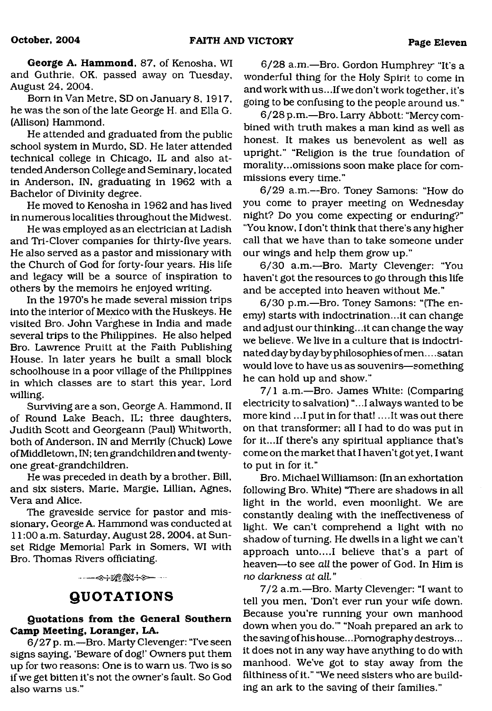**George A. Hammond,** 87, of Kenosha, WI and Guthrie, OK, passed away on Tuesday, August 24, 2004.

Bom in Van Metre, SD on January 8, 1917, he was the son of the late George H. and Ella G. (Allison) Hammond.

He attended and graduated from the public school system in Murdo, SD. He later attended technical college in Chicago, IL and also attended Anderson College and Seminary, located in Anderson, IN, graduating in 1962 with a Bachelor of Divinity degree.

He moved to Kenosha in 1962 and has lived in numerous localities throughout the Midwest.

He was employed as an electrician at Ladish and Tri-Clover companies for thirty-five years. He also served as a pastor and missionary with the Church of God for forty-four years. His life and legacy will be a source of inspiration to others by the memoirs he enjoyed writing.

In the 1970's he made several mission trips into the interior of Mexico with the Huskeys. He visited Bro. John Varghese in India and made several trips to the Philippines. He also helped Bro. Lawrence Pruitt at the Faith Publishing House. In later years he built a small block schoolhouse in a poor village of the Philippines in which classes are to start this year, Lord willing.

Surviving are a son, George A. Hammond, II of Round Lake Beach, IL; three daughters, Judith Scott and Georgeann (Paul) Whitworth, both of Anderson, IN and Merrily (Chuck) Lowe of Middletown, IN; ten grandchildren and twentyone great-grandchildren.

He was preceded in death by a brother. Bill, and six sisters, Marie, Margie, Lillian, Agnes, Vera and Alice.

The graveside service for pastor and missionary, George A. Hammond was conducted at 11:00 a.m. Saturday, August 28, 2004, at Sunset Ridge Memorial Park in Somers, WI with Bro. Thomas Rivers officiating.

**----<>÷※®®≤÷◇--**

### **QUOTATIONS**

#### <span id="page-10-0"></span>**Quotations from the General Southern Camp Meeting, Loranger, LA.**

6/27 p. m.—Bro. Marty Clevenger: "I've seen signs saying, 'Beware of dog!' Owners put them up for two reasons: One is to warn us. Two is so if we get bitten it's not the owner's fault. So God also warns us."

6/28 a.m.—Bro. Gordon Humphrey "It's a wonderful thing for the Holy Spirit to come in and work with us... If we don't work together, it's going to be confusing to the people around us."

6/28 p.m.—Bro. Larry Abbott: "Mercy combined with truth makes a man kind as well as honest. It makes us benevolent as well as upright." "Religion is the true foundation of morality...omissions soon make place for commissions every time."

6/29 a.m.—Bro. Toney Samons: "How do you come to prayer meeting on Wednesday night? Do you come expecting or enduring?" "You know, I don't think that there's any higher call that we have than to take someone under our wings and help them grow up."

6/30 a.m.—Bro. Marty Clevenger: "You haven't got the resources to go through this life and be accepted into heaven without Me."

6/30 p.m.—Bro. Toney Samons: "(The enemy) starts with indoctrination...it can change and adjust our thinking.. .it can change the way we believe. We live in a culture that is indoctrinated day by day by philosophies of men.... satan would love to have us as souvenirs—something he can hold up and show."

7/1 a.m.—Bro. James White: (Comparing electricity to salvation) "...I always wanted to be more kind .. .1 put in for that!... .It was out there on that transformer; all I had to do was put in for it...If there's any spiritual appliance that's come on the market that I haven't got yet, I want to put in for it."

Bro. Michael Williamson: (In an exhortation following Bro. White) "There are shadows in all light in the world, even moonlight. We are constantly dealing with the ineffectiveness of light. We can't comprehend a light with no shadow of turning. He dwells in a light we can't approach unto....I believe that's a part of heaven—to see *all* the power of God. In Him is *no darkness at all* "

7/2 a.m.—Bro. Marty Clevenger: "I want to tell you men, 'Don't ever run your wife down. Because you're running your own manhood down when you do.'" "Noah prepared an ark to the saving of his house.. .Pornography destroys... it does not in any way have anything to do with manhood. We've got to stay away from the filthiness of it." "We need sisters who are building an ark to the saving of their families."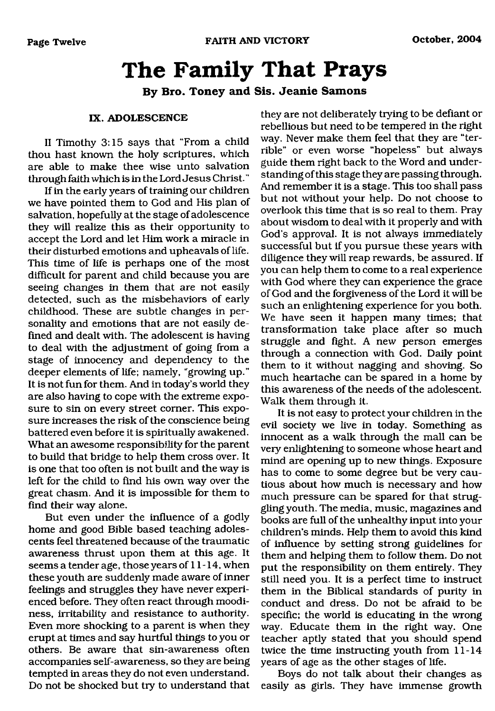## <span id="page-11-0"></span>**The Family That Prays**

**By Bro. Toney and Sis. Jeanie Samons**

#### **IX. ADOLESCENCE**

II Timothy 3:15 says that "From a child thou hast known the holy scriptures, which are able to make thee wise unto salvation through faith which is in the Lord Jesus Christ."

If in the early years of training our children we have pointed them to God and His plan of salvation, hopefully at the stage of adolescence they will realize this as their opportunity to accept the Lord and let Him work a miracle in their disturbed emotions and upheavals of life. This time of life is perhaps one of the most difficult for parent and child because you are seeing changes in them that are not easily detected, such as the misbehaviors of early childhood. These are subtle changes in personality and emotions that are not easily defined and dealt with. The adolescent is having to deal with the adjustment of going from a stage of innocency and dependency to the deeper elements of life; namely, "growing up." It is not fun for them. And in today's world they are also having to cope with the extreme exposure to sin on every street comer. This exposure increases the risk of the conscience being battered even before it is spiritually awakened. What an awesome responsibility for the parent to build that bridge to help them cross over. It is one that too often is not built and the way is left for the child to find his own way over the great chasm. And it is impossible for them to find their way alone.

But even under the influence of a godly home and good Bible based teaching adolescents feel threatened because of the traumatic awareness thrust upon them at this age. It seems a tender age, those years of 11-14, when these youth are suddenly made aware of inner feelings and struggles they have never experienced before. They often react through moodiness, irritability and resistance to authority. Even more shocking to a parent is when they erupt at times and say hurtful things to you or others. Be aware that sin-awareness often accompanies self-awareness, so they are being tempted in areas they do not even understand. Do not be shocked but try to understand that

they are not deliberately trying to be defiant or rebellious but need to be tempered in the right way. Never make them feel that they are "terrible" or even worse "hopeless" but always guide them right back to the Word and understanding of this stage they are passing through. And remember it is a stage. This too shall pass but not without your help. Do not choose to overlook this time that is so real to them. Pray about wisdom to deal with it properly and with God's approval. It is not always immediately successful but if you pursue these years with diligence they will reap rewards, be assured. If you can help them to come to a real experience with God where they can experience the grace of God and the forgiveness of the Lord it will be such an enlightening experience for you both. We have seen it happen many times; that transformation take place after so much struggle and fight. A new person emerges through a connection with God. Daily point them to it without nagging and shoving. So much heartache can be spared in a home by this awareness of the needs of the adolescent. Walk them through it.

It is not easy to protect your children in the evil society we live in today. Something as innocent as a walk through the mall can be very enlightening to someone whose heart and mind are opening up to new things. Exposure has to come to some degree but be very cautious about how much is necessary and how much pressure can be spared for that struggling youth. The media, music, magazines and books are full of the unhealthy input into your children's minds. Help them to avoid this kind of influence by setting strong guidelines for them and helping them to follow them. Do not put the responsibility on them entirely. They still need you. It is a perfect time to instruct them in the Biblical standards of purity in conduct and dress. Do not be afraid to be specific; the world is educating in the wrong way. Educate them in the right way. One teacher aptly stated that you should spend twice the time instructing youth from 11-14 years of age as the other stages of life.

Boys do not talk about their changes as easily as girls. They have immense growth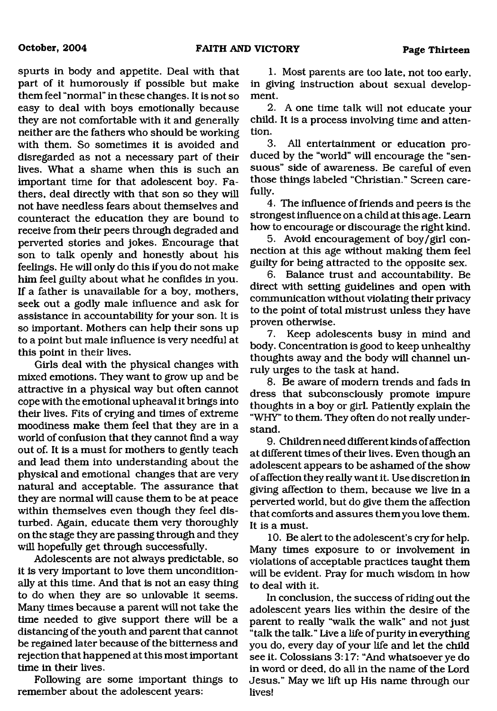spurts in body and appetite. Deal with that part of it humorously if possible but make them feel "normal" in these changes. It is not so easy to deal with boys emotionally because they are not comfortable with it and generally neither are the fathers who should be working with them. So sometimes it is avoided and disregarded as not a necessary part of their lives. What a shame when this is such an important time for that adolescent boy. Fathers, deal directly with that son so they will not have needless fears about themselves and counteract the education they are bound to receive from their peers through degraded and perverted stories and jokes. Encourage that son to talk openly and honestly about his feelings. He will only do this if you do not make him feel guilty about what he confides in you. If a father is unavailable for a boy, mothers, seek out a godly male influence and ask for assistance in accountability for your son. It is so important. Mothers can help their sons up to a point but male influence is very needful at this point in their lives.

Girls deal with the physical changes with mixed emotions. They want to grow up and be attractive in a physical way but often cannot cope with the emotional upheaval it brings into their lives. Fits of crying and times of extreme moodiness make them feel that they are in a world of confusion that they cannot find a way out of. It is a must for mothers to gently teach and lead them into understanding about the physical and emotional changes that are very natural and acceptable. The assurance that they are normal will cause them to be at peace within themselves even though they feel disturbed. Again, educate them very thoroughly on the stage they are passing through and they will hopefully get through successfully.

Adolescents are not always predictable, so it is very important to love them unconditionally at this time. And that is not an easy thing to do when they are so unlovable it seems. Many times because a parent will not take the time needed to give support there will be a distancing of the youth and parent that cannot be regained later because of the bitterness and rejection that happened at this most important time in their lives.

Following are some important things to remember about the adolescent years:

1. Most parents are too late, not too early, in giving instruction about sexual development.

2. A one time talk will not educate your child. It is a process involving time and attention.

3. All entertainment or education produced by the "world" will encourage the "sensuous" side of awareness. Be careful of even those things labeled "Christian." Screen carefully.

4. The influence of friends and peers is the strongest influence on a child at this age. Learn how to encourage or discourage the right kind.

5. Avoid encouragement of boy/girl connection at this age without making them feel guilty for being attracted to the opposite sex.

6. Balance trust and accountability. Be direct with setting guidelines and open with communication without violating their privacy to the point of total mistrust unless they have proven otherwise.

7. Keep adolescents busy in mind and body. Concentration is good to keep unhealthy thoughts away and the body will channel unruly urges to the task at hand.

8. Be aware of modem trends and fads in dress that subconsciously promote impure thoughts in a boy or girl. Patiently explain the "WHY" to them. They often do not really understand.

9. Children need different kinds of affection at different times of their lives. Even though an adolescent appears to be ashamed of the show of affection they really want it. Use discretion in giving affection to them, because we live in a perverted world, but do give them the affection that comforts and assures them you love them. It is a must.

10. Be alert to the adolescent's cry for help. Many times exposure to or involvement in violations of acceptable practices taught them will be evident. Pray for much wisdom in how to deal with it.

In conclusion, the success of riding out the adolescent years lies within the desire of the parent to really "walk the walk" and not just "talk the talk." Live a life of purity in everything you do, every day of your life and let the child see it. Colossians 3:17: "And whatsoever ye do in word or deed, do all in the name of the Lord Jesus." May we lift up His name through our lives!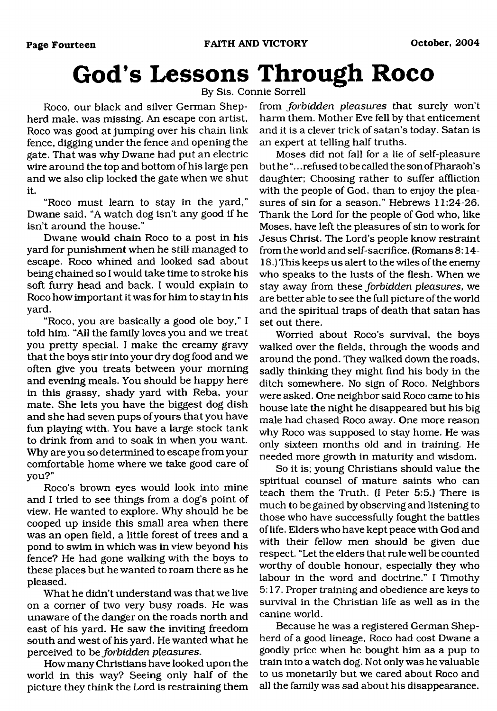## <span id="page-13-0"></span>**God's Lessons Through Roco**

By Sis. Connie Sorrell

Roco, our black and silver German Shepherd male, was missing. An escape con artist, Roco was good at jumping over his chain link fence, digging under the fence and opening the gate. That was why Dwane had put an electric wire around the top and bottom of his large pen and we also clip locked the gate when we shut it.

"Roco must learn to stay in the yard," Dwane said. "A watch dog isn't any good if he isn't around the house."

Dwane would chain Roco to a post in his yard for punishment when he still managed to escape. Roco whined and looked sad about being chained so I would take time to stroke his soft furry head and back. I would explain to Roco how important it was for him to stay in his yard.

"Roco, you are basically a good ole boy," I told him. "All the family loves you and we treat you pretty special. I make the creamy gravy that the boys stir into your dry dog food and we often give you treats between your morning and evening meals. You should be happy here in this grassy, shady yard with Reba, your mate. She lets you have the biggest dog dish and she had seven pups of yours that you have fun playing with. You have a large stock tank to drink from and to soak in when you want. Why are you so determined to escape from your comfortable home where we take good care of you?"

Roco's brown eyes would look into mine and I tried to see things from a dog's point of view. He wanted to explore. Why should he be cooped up inside this small area when there was an open field, a little forest of trees and a pond to swim in which was in view beyond his fence? He had gone walking with the boys to these places but he wanted to roam there as he pleased.

What he didn't understand was that we live on a comer of two very busy roads. He was unaware of the danger on the roads north and east of his yard. He saw the inviting freedom south and west of his yard. He wanted what he perceived to be *forbidden pleasures.*

How many Christians have looked upon the world in this way? Seeing only half of the picture they think the Lord is restraining them from *forbidden pleasures* that surely won't harm them. Mother Eve fell by that enticement and it is a clever trick of satan's today. Satan is an expert at telling half truths.

Moses did not fall for a lie of self-pleasure but he ".. .refused to be called the son of Pharaoh's daughter; Choosing rather to suffer affliction with the people of God, than to enjoy the pleasures of sin for a season." Hebrews 11:24-26. Thank the Lord for the people of God who, like Moses, have left the pleasures of sin to work for Jesus Christ. The Lord's people know restraint from the world and self-sacrifice. (Romans 8:14- 18.) This keeps us alert to the wiles of the enemy who speaks to the lusts of the flesh. When we stay away from these *forbidden pleasures,* we are better able to see the full picture of the world and the spiritual traps of death that satan has set out there.

Worried about Roco's survival, the boys walked over the fields, through the woods and around the pond. They walked down the roads, sadly thinking they might find his body in the ditch somewhere. No sign of Roco. Neighbors were asked. One neighbor said Roco came to his house late the night he disappeared but his big male had chased Roco away. One more reason why Roco was supposed to stay home. He was only sixteen months old and in training. He needed more growth in maturity and wisdom.

So it is; young Christians should value the spiritual counsel of mature saints who can teach them the Truth. (I Peter 5:5.) There is much to be gained by observing and listening to those who have successfully fought the battles of life. Elders who have kept peace with God and with their fellow men should be given due respect. "Let the elders that rule well be counted worthy of double honour, especially they who labour in the word and doctrine." I Timothy 5:17. Proper training and obedience are keys to survival in the Christian life as well as in the canine world.

Because he was a registered German Shepherd of a good lineage, Roco had cost Dwane a goodly price when he bought him as a pup to train into a watch dog. Not only was he valuable to us monetarily but we cared about Roco and all the family was sad about his disappearance.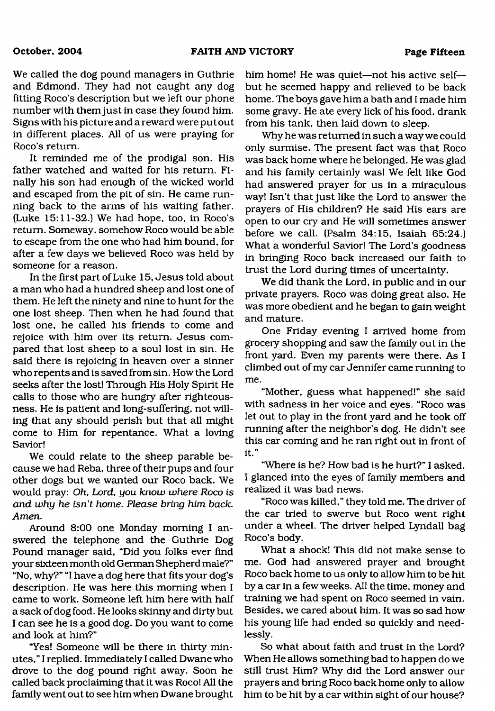We called the dog pound managers in Guthrie and Edmond. They had not caught any dog fitting Roco's description but we left our phone number with them just in case they found him. Signs with his picture and a reward were put out in different places. All of us were praying for Roco's return.

It reminded me of the prodigal son. His father watched and waited for his return. Finally his son had enough of the wicked world and escaped from the pit of sin. He came running back to the arms of his waiting father. (Luke 15:11-32.) We had hope, too, in Roco's return. Someway, somehow Roco would be able to escape from the one who had him bound, for after a few days we believed Roco was held by someone for a reason.

In the first part of Luke 15, Jesus told about a man who had a hundred sheep and lost one of them. He left the ninety and nine to hunt for the one lost sheep. Then when he had found that lost one, he called his friends to come and rejoice with him over its return. Jesus compared that lost sheep to a soul lost in sin. He said there is rejoicing in heaven over a sinner who repents and is saved from sin. How the Lord seeks after the lost! Through His Holy Spirit He calls to those who are hungry after righteousness. He is patient and long-suffering, not willing that any should perish but that all might come to Him for repentance. What a loving Savior!

We could relate to the sheep parable because we had Reba, three of their pups and four other dogs but we wanted our Roco back. We would pray: *Oh, Lord, you know where Roco is and why he isn't home. Please bring him back. Amen.*

Around 8:00 one Monday morning I answered the telephone and the Guthrie Dog Pound manager said, "Did you folks ever find your sixteen month old German Shepherd male?" "No, why?" "I have a dog here that fits your dog's description. He was here this morning when I came to work. Someone left him here with half a sack of dog food. He looks skinny and dirty but I can see he is a good dog. Do you want to come and look at him?"

"Yes! Someone will be there in thirty minutes," I replied. Immediately I called Dwane who drove to the dog pound right away. Soon he called back proclaiming that it was Roco! All the family went out to see him when Dwane brought him home! He was quiet—not his active self but he seemed happy and relieved to be back home. The boys gave him a bath and I made him some gravy. He ate every lick of his food, drank from his tank, then laid down to sleep.

Why he was returned in such a way we could only surmise. The present fact was that Roco was back home where he belonged. He was glad and his family certainly was! We felt like God had answered prayer for us in a miraculous way! Isn't that just like the Lord to answer the prayers of His children? He said His ears are open to our cry and He will sometimes answer before we call. (Psalm 34:15, Isaiah 65:24.) What a wonderful Savior! The Lord's goodness in bringing Roco back increased our faith to trust the Lord during times of uncertainty.

We did thank the Lord, in public and in our private prayers. Roco was doing great also. He was more obedient and he began to gain weight and mature.

One Friday evening I arrived home from grocery shopping and saw the family out in the front yard. Even my parents were there. As I climbed out of my car Jennifer came running to me.

"Mother, guess what happened!" she said with sadness in her voice and eyes. "Roco was let out to play in the front yard and he took off running after the neighbor's dog. He didn't see this car coming and he ran right out in front of it."

"Where is he? How bad is he hurt?" I asked. I glanced into the eyes of family members and realized it was bad news.

"Roco was killed," they told me. The driver of the car tried to swerve but Roco went right under a wheel. The driver helped Lyndall bag Roco's body.

What a shock! This did not make sense to me. God had answered prayer and brought Roco back home to us only to allow him to be hit by a car in a few weeks. All the time, money and training we had spent on Roco seemed in vain. Besides, we cared about him. It was so sad how his young life had ended so quickly and needlessly.

So what about faith and trust in the Lord? When He allows something bad to happen do we still trust Him? Why did the Lord answer our prayers and bring Roco back home only to allow him to be hit by a car within sight of our house?